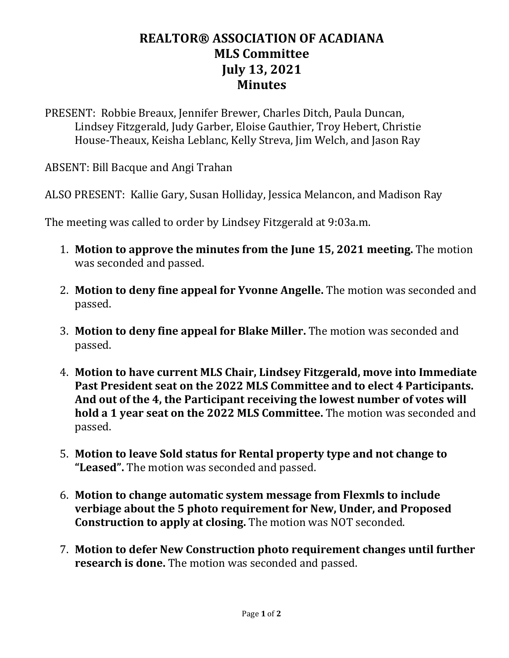## **REALTOR® ASSOCIATION OF ACADIANA MLS Committee July 13, 2021 Minutes**

PRESENT: Robbie Breaux, Jennifer Brewer, Charles Ditch, Paula Duncan, Lindsey Fitzgerald, Judy Garber, Eloise Gauthier, Troy Hebert, Christie House-Theaux, Keisha Leblanc, Kelly Streva, Jim Welch, and Jason Ray

ABSENT: Bill Bacque and Angi Trahan

ALSO PRESENT: Kallie Gary, Susan Holliday, Jessica Melancon, and Madison Ray

The meeting was called to order by Lindsey Fitzgerald at 9:03a.m.

- 1. **Motion to approve the minutes from the June 15, 2021 meeting.** The motion was seconded and passed.
- 2. **Motion to deny fine appeal for Yvonne Angelle.** The motion was seconded and passed.
- 3. **Motion to deny fine appeal for Blake Miller.** The motion was seconded and passed.
- 4. **Motion to have current MLS Chair, Lindsey Fitzgerald, move into Immediate Past President seat on the 2022 MLS Committee and to elect 4 Participants. And out of the 4, the Participant receiving the lowest number of votes will hold a 1 year seat on the 2022 MLS Committee.** The motion was seconded and passed.
- 5. **Motion to leave Sold status for Rental property type and not change to "Leased".** The motion was seconded and passed.
- 6. **Motion to change automatic system message from Flexmls to include verbiage about the 5 photo requirement for New, Under, and Proposed Construction to apply at closing.** The motion was NOT seconded.
- 7. **Motion to defer New Construction photo requirement changes until further research is done.** The motion was seconded and passed.